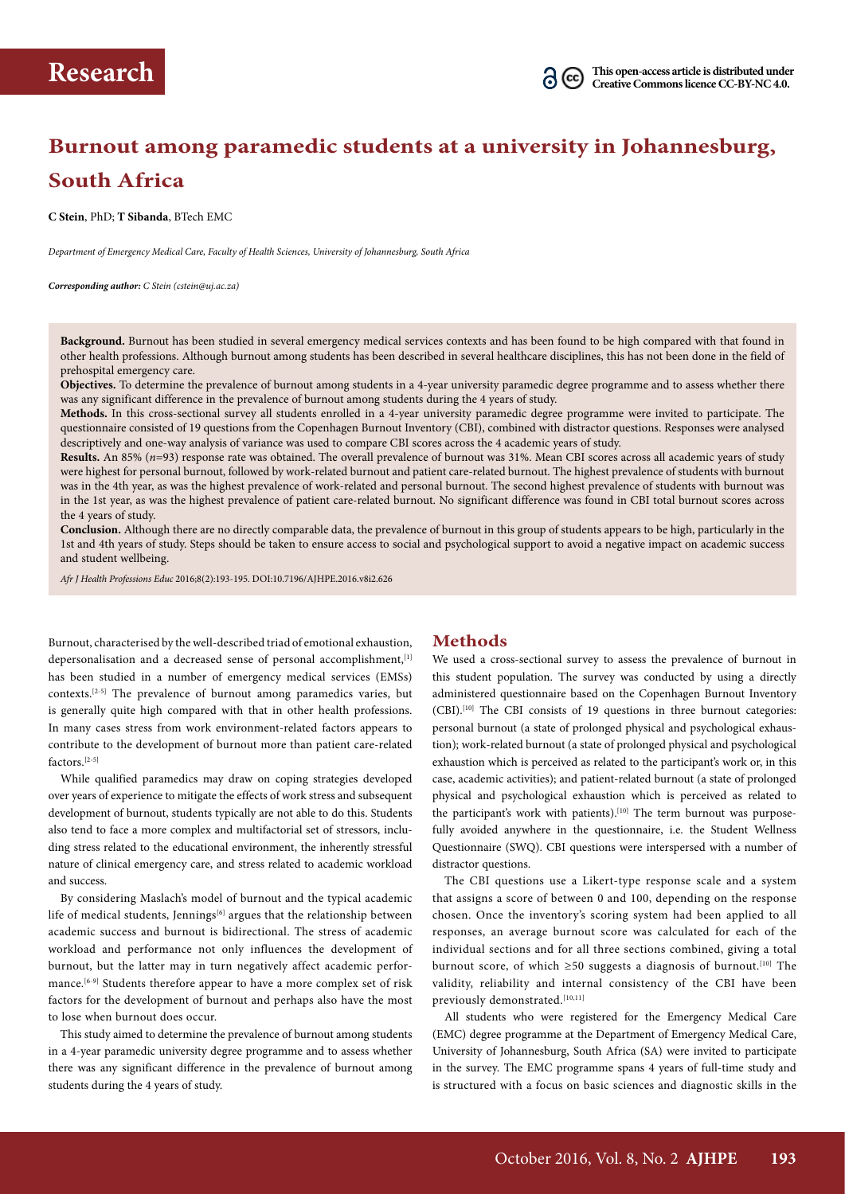# **Burnout among paramedic students at a university in Johannesburg, South Africa**

**C Stein**, PhD; **T Sibanda**, BTech EMC

*Department of Emergency Medical Care, Faculty of Health Sciences, University of Johannesburg, South Africa*

*Corresponding author: C Stein (cstein@uj.ac.za)*

**Background.** Burnout has been studied in several emergency medical services contexts and has been found to be high compared with that found in other health professions. Although burnout among students has been described in several healthcare disciplines, this has not been done in the field of prehospital emergency care.

**Objectives.** To determine the prevalence of burnout among students in a 4-year university paramedic degree programme and to assess whether there was any significant difference in the prevalence of burnout among students during the 4 years of study.

**Methods.** In this cross-sectional survey all students enrolled in a 4-year university paramedic degree programme were invited to participate. The questionnaire consisted of 19 questions from the Copenhagen Burnout Inventory (CBI), combined with distractor questions. Responses were analysed descriptively and one-way analysis of variance was used to compare CBI scores across the 4 academic years of study.

**Results.** An 85% (*n*=93) response rate was obtained. The overall prevalence of burnout was 31%. Mean CBI scores across all academic years of study were highest for personal burnout, followed by work-related burnout and patient care-related burnout. The highest prevalence of students with burnout was in the 4th year, as was the highest prevalence of work-related and personal burnout. The second highest prevalence of students with burnout was in the 1st year, as was the highest prevalence of patient care-related burnout. No significant difference was found in CBI total burnout scores across the 4 years of study.

**Conclusion.** Although there are no directly comparable data, the prevalence of burnout in this group of students appears to be high, particularly in the 1st and 4th years of study. Steps should be taken to ensure access to social and psychological support to avoid a negative impact on academic success and student wellbeing.

*Afr J Health Professions Educ* 2016;8(2):193-195. DOI:10.7196/AJHPE.2016.v8i2.626

Burnout, characterised by the well-described triad of emotional exhaustion, depersonalisation and a decreased sense of personal accomplishment, [1] has been studied in a number of emergency medical services (EMSs) contexts.[2-5] The prevalence of burnout among paramedics varies, but is generally quite high compared with that in other health professions. In many cases stress from work environment-related factors appears to contribute to the development of burnout more than patient care-related factors<sup>[2-5]</sup>

While qualified paramedics may draw on coping strategies developed over years of experience to mitigate the effects of work stress and subsequent development of burnout, students typically are not able to do this. Students also tend to face a more complex and multifactorial set of stressors, including stress related to the educational environment, the inherently stressful nature of clinical emergency care, and stress related to academic workload and success.

By considering Maslach's model of burnout and the typical academic life of medical students, Jennings<sup>[6]</sup> argues that the relationship between academic success and burnout is bidirectional. The stress of academic workload and performance not only influences the development of burnout, but the latter may in turn negatively affect academic performance.<sup>[6-9]</sup> Students therefore appear to have a more complex set of risk factors for the development of burnout and perhaps also have the most to lose when burnout does occur.

This study aimed to determine the prevalence of burnout among students in a 4-year paramedic university degree programme and to assess whether there was any significant difference in the prevalence of burnout among students during the 4 years of study.

### **Methods**

We used a cross-sectional survey to assess the prevalence of burnout in this student population. The survey was conducted by using a directly administered questionnaire based on the Copenhagen Burnout Inventory (CBI).<sup>[10]</sup> The CBI consists of 19 questions in three burnout categories: personal burnout (a state of prolonged physical and psychological exhaustion); work-related burnout (a state of prolonged physical and psychological exhaustion which is perceived as related to the participant's work or, in this case, academic activities); and patient-related burnout (a state of prolonged physical and psychological exhaustion which is perceived as related to the participant's work with patients).<sup>[10]</sup> The term burnout was purposefully avoided anywhere in the questionnaire, i.e. the Student Wellness Questionnaire (SWQ). CBI questions were interspersed with a number of distractor questions.

The CBI questions use a Likert-type response scale and a system that assigns a score of between 0 and 100, depending on the response chosen. Once the inventory's scoring system had been applied to all responses, an average burnout score was calculated for each of the individual sections and for all three sections combined, giving a total burnout score, of which  $\geq 50$  suggests a diagnosis of burnout.<sup>[10]</sup> The validity, reliability and internal consistency of the CBI have been previously demonstrated.<sup>[10,11]</sup>

All students who were registered for the Emergency Medical Care (EMC) degree programme at the Department of Emergency Medical Care, University of Johannesburg, South Africa (SA) were invited to participate in the survey. The EMC programme spans 4 years of full-time study and is structured with a focus on basic sciences and diagnostic skills in the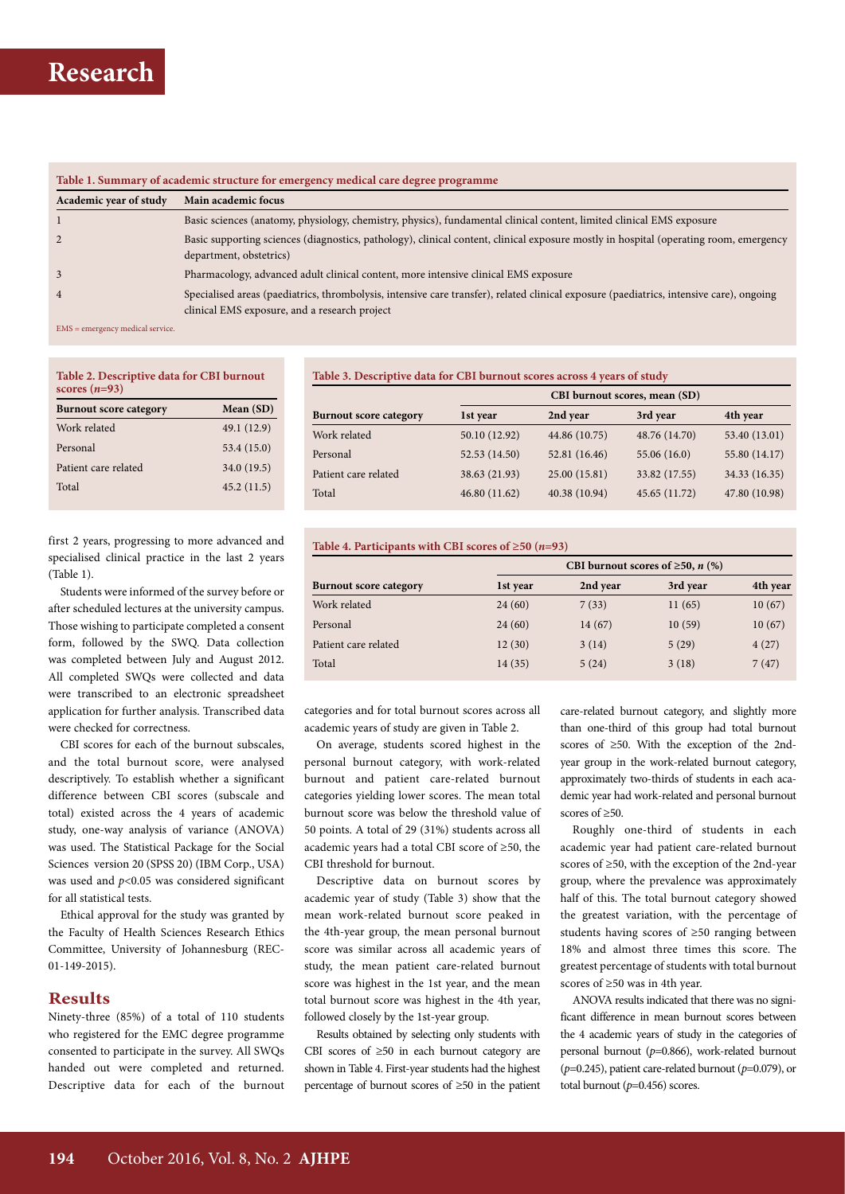

| Table 1. Summary of academic structure for emergency medical care degree programme |                                                                                                                                                                                           |  |  |  |  |
|------------------------------------------------------------------------------------|-------------------------------------------------------------------------------------------------------------------------------------------------------------------------------------------|--|--|--|--|
| Academic year of study                                                             | Main academic focus                                                                                                                                                                       |  |  |  |  |
|                                                                                    | Basic sciences (anatomy, physiology, chemistry, physics), fundamental clinical content, limited clinical EMS exposure                                                                     |  |  |  |  |
|                                                                                    | Basic supporting sciences (diagnostics, pathology), clinical content, clinical exposure mostly in hospital (operating room, emergency<br>department, obstetrics)                          |  |  |  |  |
| 3                                                                                  | Pharmacology, advanced adult clinical content, more intensive clinical EMS exposure                                                                                                       |  |  |  |  |
| $\overline{4}$                                                                     | Specialised areas (paediatrics, thrombolysis, intensive care transfer), related clinical exposure (paediatrics, intensive care), ongoing<br>clinical EMS exposure, and a research project |  |  |  |  |
| $EMC = amayron or modified points.$                                                |                                                                                                                                                                                           |  |  |  |  |

EMS = emergency medical service.

| Table 2. Descriptive data for CBI burnout<br>scores $(n=93)$ |  |  |  |  |
|--------------------------------------------------------------|--|--|--|--|
| Mean $(SD)$                                                  |  |  |  |  |
| 49.1 (12.9)                                                  |  |  |  |  |
| 53.4 (15.0)                                                  |  |  |  |  |
| 34.0 (19.5)                                                  |  |  |  |  |
| 45.2(11.5)                                                   |  |  |  |  |
|                                                              |  |  |  |  |

**Table 3. Descriptive data for CBI burnout scores across 4 years of study**

| CBI burnout scores, mean (SD) |               |                                                             |               |
|-------------------------------|---------------|-------------------------------------------------------------|---------------|
| 1st year                      |               | 3rd year                                                    | 4th year      |
| 50.10 (12.92)                 |               | 48.76 (14.70)                                               | 53.40 (13.01) |
|                               | 52.81 (16.46) | 55.06(16.0)                                                 | 55.80 (14.17) |
| 38.63 (21.93)                 |               | 33.82 (17.55)                                               | 34.33 (16.35) |
| 46.80 (11.62)                 |               | 45.65 (11.72)                                               | 47.80 (10.98) |
|                               | 52.53 (14.50) | 2nd year<br>44.86 (10.75)<br>25.00 (15.81)<br>40.38 (10.94) |               |

first 2 years, progressing to more advanced and specialised clinical practice in the last 2 years (Table 1).

Students were informed of the survey before or after scheduled lectures at the university campus. Those wishing to participate completed a consent form, followed by the SWQ. Data collection was completed between July and August 2012. All completed SWQs were collected and data were transcribed to an electronic spreadsheet application for further analysis. Transcribed data were checked for correctness.

CBI scores for each of the burnout subscales, and the total burnout score, were analysed descriptively. To establish whether a significant difference between CBI scores (subscale and total) existed across the 4 years of academic study, one-way analysis of variance (ANOVA) was used. The Statistical Package for the Social Sciences version 20 (SPSS 20) (IBM Corp., USA) was used and *p*<0.05 was considered significant for all statistical tests.

Ethical approval for the study was granted by the Faculty of Health Sciences Research Ethics Committee, University of Johannesburg (REC-01-149-2015).

# **Results**

Ninety-three (85%) of a total of 110 students who registered for the EMC degree programme consented to participate in the survey. All SWQs handed out were completed and returned. Descriptive data for each of the burnout **Table 4. Participants with CBI scores of ≥50 (***n***=93)**

|                               | CBI burnout scores of $\geq 50$ , n (%) |          |          |          |
|-------------------------------|-----------------------------------------|----------|----------|----------|
| <b>Burnout score category</b> | 1st year                                | 2nd year | 3rd year | 4th year |
| Work related                  | 24(60)                                  | 7(33)    | 11(65)   | 10(67)   |
| Personal                      | 24(60)                                  | 14(67)   | 10(59)   | 10(67)   |
| Patient care related          | 12(30)                                  | 3(14)    | 5(29)    | 4(27)    |
| Total                         | 14(35)                                  | 5(24)    | 3(18)    | 7(47)    |

categories and for total burnout scores across all academic years of study are given in Table 2.

On average, students scored highest in the personal burnout category, with work-related burnout and patient care-related burnout categories yielding lower scores. The mean total burnout score was below the threshold value of 50 points. A total of 29 (31%) students across all academic years had a total CBI score of ≥50, the CBI threshold for burnout.

Descriptive data on burnout scores by academic year of study (Table 3) show that the mean work-related burnout score peaked in the 4th-year group, the mean personal burnout score was similar across all academic years of study, the mean patient care-related burnout score was highest in the 1st year, and the mean total burnout score was highest in the 4th year, followed closely by the 1st-year group.

Results obtained by selecting only students with CBI scores of ≥50 in each burnout category are shown in Table 4. First-year students had the highest percentage of burnout scores of ≥50 in the patient care-related burnout category, and slightly more than one-third of this group had total burnout scores of ≥50. With the exception of the 2ndyear group in the work-related burnout category, approximately two-thirds of students in each academic year had work-related and personal burnout scores of ≥50.

Roughly one-third of students in each academic year had patient care-related burnout scores of ≥50, with the exception of the 2nd-year group, where the prevalence was approximately half of this. The total burnout category showed the greatest variation, with the percentage of students having scores of ≥50 ranging between 18% and almost three times this score. The greatest percentage of students with total burnout scores of ≥50 was in 4th year.

ANOVA results indicated that there was no significant difference in mean burnout scores between the 4 academic years of study in the categories of personal burnout (*p*=0.866), work-related burnout (*p*=0.245), patient care-related burnout (*p*=0.079), or total burnout (*p*=0.456) scores.